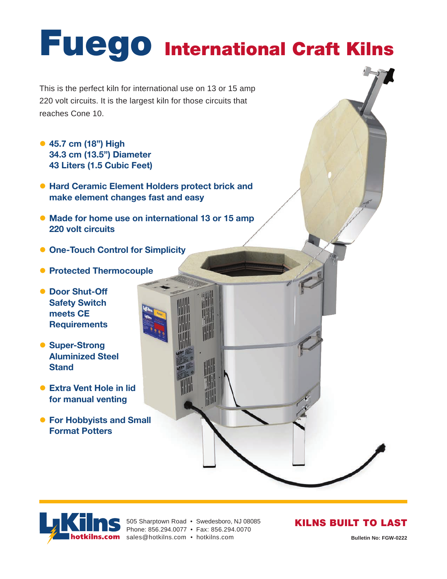# **Fuego International Craft Kilns**

This is the perfect kiln for international use on 13 or 15 amp 220 volt circuits. It is the largest kiln for those circuits that reaches Cone 10.

- z **45.7 cm (18") High 34.3 cm (13.5") Diameter 43 Liters (1.5 Cubic Feet)**
- **Hard Ceramic Element Holders protect brick and make element changes fast and easy**
- **Made for home use on international 13 or 15 amp 220 volt circuits**
- **One-Touch Control for Simplicity**
- **Protected Thermocouple**
- **Door Shut-Off Safety Switch meets CE Requirements**
- **Super-Strong Aluminized Steel Stand**
- **Extra Vent Hole in lid for manual venting**
- **For Hobbyists and Small Format Potters**





505 Sharptown Road • Swedesboro, NJ 08085

Phone: 856.294.0077 • Fax: 856.294.0070

#### KILNS BUILT TO LAST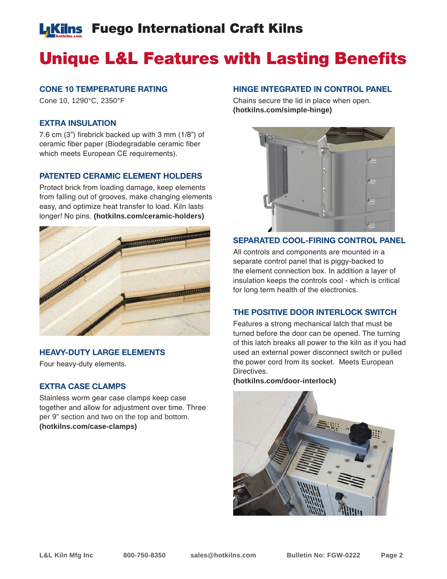# **L**Kilns Fuego International Craft Kilns

# Unique L&L Features with Lasting Benefits

#### **CONE 10 TEMPERATURE RATING**

Cone 10, 1290°C, 2350°F

#### **EXTRA INSULATION**

7.6 cm (3") firebrick backed up with 3 mm (1/8") of ceramic fiber paper (Biodegradable ceramic fiber which meets European CE requirements).

#### **PATENTED CERAMIC ELEMENT HOLDERS**

Protect brick from loading damage, keep elements from falling out of grooves, make changing elements easy, and optimize heat transfer to load. Kiln lasts longer! No pins. **(hotkilns.com/ceramic-holders)**



#### **HEAVY-DUTY LARGE ELEMENTS**

Four heavy-duty elements.

#### **EXTRA CASE CLAMPS**

Stainless worm gear case clamps keep case together and allow for adjustment over time. Three per 9" section and two on the top and bottom. **(hotkilns.com/case-clamps)**

#### **HINGE INTEGRATED IN CONTROL PANEL**

Chains secure the lid in place when open. **(hotkilns.com/simple-hinge)**



#### **SEPARATED COOL-FIRING CONTROL PANEL**

All controls and components are mounted in a separate control panel that is piggy-backed to the element connection box. In addition a layer of insulation keeps the controls cool - which is critical for long term health of the electronics.

#### **THE POSITIVE DOOR INTERLOCK SWITCH**

Features a strong mechanical latch that must be turned before the door can be opened. The turning of this latch breaks all power to the kiln as if you had used an external power disconnect switch or pulled the power cord from its socket. Meets European Directives.

**(hotkilns.com/door-interlock)**

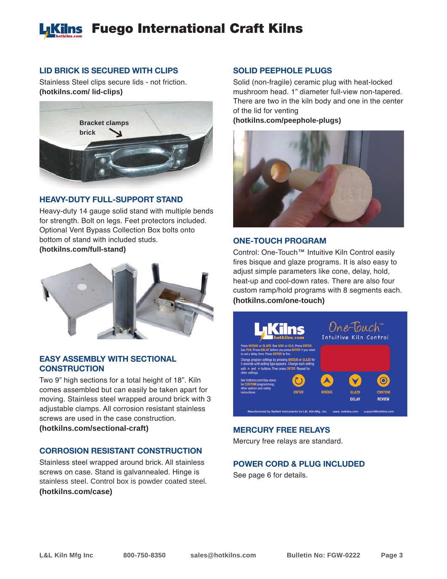# **L**Kilns Fuego International Craft Kilns

#### **LID BRICK IS SECURED WITH CLIPS**

Stainless Steel clips secure lids - not friction. **(hotkilns.com/ lid-clips)**



#### **HEAVY-DUTY FULL-SUPPORT STAND**

Heavy-duty 14 gauge solid stand with multiple bends for strength. Bolt on legs. Feet protectors included. Optional Vent Bypass Collection Box bolts onto bottom of stand with included studs. **(hotkilns.com/full-stand)**



#### **EASY ASSEMBLY WITH SECTIONAL CONSTRUCTION**

Two 9" high sections for a total height of 18". Kiln comes assembled but can easily be taken apart for moving. Stainless steel wrapped around brick with 3 adjustable clamps. All corrosion resistant stainless screws are used in the case construction. **(hotkilns.com/sectional-craft)**

#### **CORROSION RESISTANT CONSTRUCTION**

Stainless steel wrapped around brick. All stainless screws on case. Stand is galvannealed. Hinge is stainless steel. Control box is powder coated steel. **(hotkilns.com/case)**

#### **SOLID PEEPHOLE PLUGS**

Solid (non-fragile) ceramic plug with heat-locked mushroom head. 1" diameter full-view non-tapered. There are two in the kiln body and one in the center of the lid for venting **(hotkilns.com/peephole-plugs)**

#### **ONE-TOUCH PROGRAM**

Control: One-Touch™ Intuitive Kiln Control easily fires bisque and glaze programs. It is also easy to adjust simple parameters like cone, delay, hold, heat-up and cool-down rates. There are also four custom ramp/hold programs with 8 segments each. **(hotkilns.com/one-touch)**



#### **MERCURY FREE RELAYS**

Mercury free relays are standard.

#### **POWER CORD & PLUG INCLUDED**

See page 6 for details.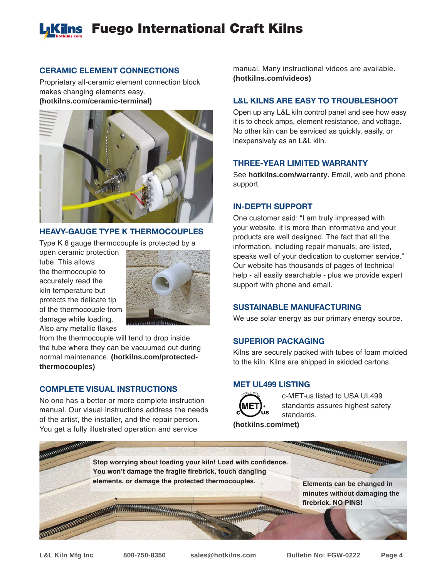# **L**Kilns Fuego International Craft Kilns

#### **CERAMIC ELEMENT CONNECTIONS**

Proprietary all-ceramic element connection block makes changing elements easy. **(hotkilns.com/ceramic-terminal)**



#### **HEAVY-GAUGE TYPE K THERMOCOUPLES**

Type K 8 gauge thermocouple is protected by a

open ceramic protection tube. This allows the thermocouple to accurately read the kiln temperature but protects the delicate tip of the thermocouple from damage while loading. Also any metallic flakes



from the thermocouple will tend to drop inside the tube where they can be vacuumed out during normal maintenance. **(hotkilns.com/protectedthermocouples)**

#### **COMPLETE VISUAL INSTRUCTIONS**

No one has a better or more complete instruction manual. Our visual instructions address the needs of the artist, the installer, and the repair person. You get a fully illustrated operation and service

manual. Many instructional videos are available. **(hotkilns.com/videos)**

#### **L&L KILNS ARE EASY TO TROUBLESHOOT**

Open up any L&L kiln control panel and see how easy it is to check amps, element resistance, and voltage. No other kiln can be serviced as quickly, easily, or inexpensively as an L&L kiln.

#### **THREE-YEAR LIMITED WARRANTY**

See **hotkilns.com/warranty.** Email, web and phone support.

#### **IN-DEPTH SUPPORT**

One customer said: "I am truly impressed with your website, it is more than informative and your products are well designed. The fact that all the information, including repair manuals, are listed, speaks well of your dedication to customer service." Our website has thousands of pages of technical help - all easily searchable - plus we provide expert support with phone and email.

#### **SUSTAINABLE MANUFACTURING**

We use solar energy as our primary energy source.

#### **SUPERIOR PACKAGING**

Kilns are securely packed with tubes of foam molded to the kiln. Kilns are shipped in skidded cartons.

#### **MET UL499 LISTING**



c-MET-us listed to USA UL499 standards assures highest safety standards.

**(hotkilns.com/met)**

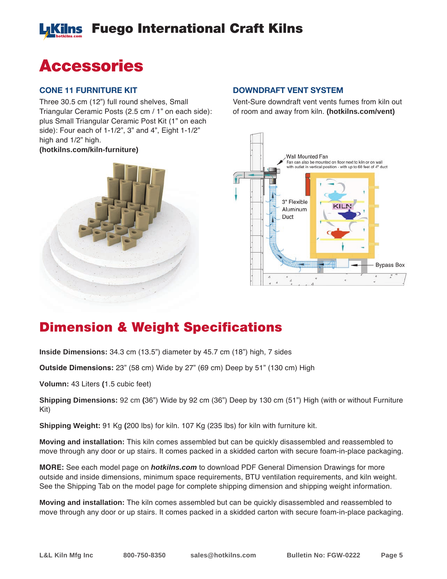# Fuego International Craft Kilns

# Accessories

#### **CONE 11 FURNITURE KIT**

Three 30.5 cm (12") full round shelves, Small Triangular Ceramic Posts (2.5 cm / 1" on each side): plus Small Triangular Ceramic Post Kit (1" on each side): Four each of 1-1/2", 3" and 4", Eight 1-1/2" high and 1/2" high. **(hotkilns.com/kiln-furniture)**



#### **DOWNDRAFT VENT SYSTEM**

Vent-Sure downdraft vent vents fumes from kiln out of room and away from kiln. **(hotkilns.com/vent)**



## Dimension & Weight Specifications

**Inside Dimensions:** 34.3 cm (13.5") diameter by 45.7 cm (18") high, 7 sides

**Outside Dimensions:** 23" (58 cm) Wide by 27" (69 cm) Deep by 51" (130 cm) High

**Volumn:** 43 Liters **(**1.5 cubic feet)

**Shipping Dimensions:** 92 cm **(**36") Wide by 92 cm (36") Deep by 130 cm (51") High (with or without Furniture Kit)

**Shipping Weight:** 91 Kg **(**200 lbs) for kiln. 107 Kg (235 lbs) for kiln with furniture kit.

**Moving and installation:** This kiln comes assembled but can be quickly disassembled and reassembled to move through any door or up stairs. It comes packed in a skidded carton with secure foam-in-place packaging.

**MORE:** See each model page on *hotkilns.com* to download PDF General Dimension Drawings for more outside and inside dimensions, minimum space requirements, BTU ventilation requirements, and kiln weight. See the Shipping Tab on the model page for complete shipping dimension and shipping weight information.

**Moving and installation:** The kiln comes assembled but can be quickly disassembled and reassembled to move through any door or up stairs. It comes packed in a skidded carton with secure foam-in-place packaging.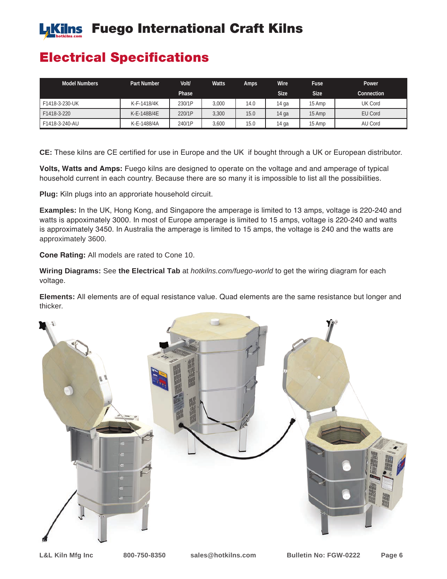# **Likilns** Fuego International Craft Kilns

## Electrical Specifications

| <b>Model Numbers</b> | Part Number | Volt/        | <b>Watts</b> | Amps | <b>Wire</b> | Fuse        | Power          |
|----------------------|-------------|--------------|--------------|------|-------------|-------------|----------------|
|                      |             | <b>Phase</b> |              |      | <b>Size</b> | <b>Size</b> | Connection     |
| F1418-3-230-UK       | K-F-1418/4K | 230/1P       | 3,000        | 14.0 | 14 ga       | 15 Amp      | <b>UK Cord</b> |
| F1418-3-220          | K-E-148B/4E | 220/1P       | 3,300        | 15.0 | 14 ga       | 15 Amp      | EU Cord        |
| F1418-3-240-AU       | K-E-1488/4A | 240/1P       | 3,600        | 15.0 | 14 ga       | 15 Amp      | AU Cord        |

**CE:** These kilns are CE certified for use in Europe and the UK if bought through a UK or European distributor.

**Volts, Watts and Amps:** Fuego kilns are designed to operate on the voltage and and amperage of typical household current in each country. Because there are so many it is impossible to list all the possibilities.

**Plug:** Kiln plugs into an approriate household circuit.

**Examples:** In the UK, Hong Kong, and Singapore the amperage is limited to 13 amps, voltage is 220-240 and watts is appoximately 3000. In most of Europe amperage is limited to 15 amps, voltage is 220-240 and watts is approximately 3450. In Australia the amperage is limited to 15 amps, the voltage is 240 and the watts are approximately 3600.

**Cone Rating:** All models are rated to Cone 10.

**Wiring Diagrams:** See **the Electrical Tab** at *hotkilns.com/fuego-world* to get the wiring diagram for each voltage.

**Elements:** All elements are of equal resistance value. Quad elements are the same resistance but longer and thicker.